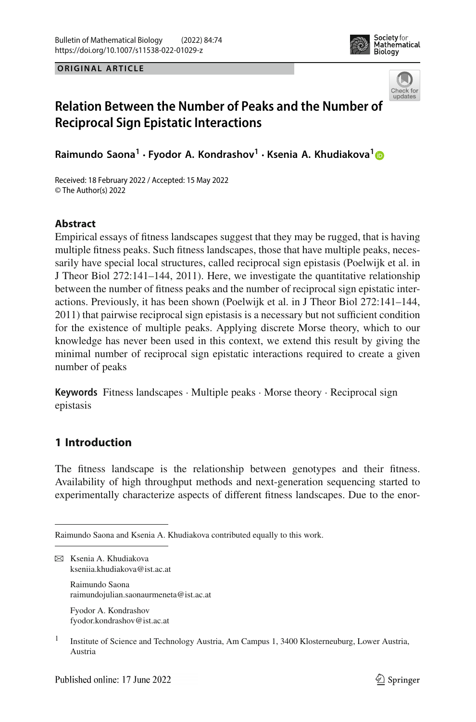





# **Relation Between the Number of Peaks and the Number of Reciprocal Sign Epistatic Interactions**

**Raimundo Saona<sup>1</sup> · Fyodor A. Kondrashov1 · Ksenia A. Khudiakova[1](http://orcid.org/0000-0002-6246-1465)**

Received: 18 February 2022 / Accepted: 15 May 2022 © The Author(s) 2022

# **Abstract**

Empirical essays of fitness landscapes suggest that they may be rugged, that is having multiple fitness peaks. Such fitness landscapes, those that have multiple peaks, necessarily have special local structures, called reciprocal sign epistasis (Poelwijk et al. in J Theor Biol 272:141–144, 2011). Here, we investigate the quantitative relationship between the number of fitness peaks and the number of reciprocal sign epistatic interactions. Previously, it has been shown (Poelwijk et al. in J Theor Biol 272:141–144, 2011) that pairwise reciprocal sign epistasis is a necessary but not sufficient condition for the existence of multiple peaks. Applying discrete Morse theory, which to our knowledge has never been used in this context, we extend this result by giving the minimal number of reciprocal sign epistatic interactions required to create a given number of peaks

**Keywords** Fitness landscapes · Multiple peaks · Morse theory · Reciprocal sign epistasis

# **1 Introduction**

The fitness landscape is the relationship between genotypes and their fitness. Availability of high throughput methods and next-generation sequencing started to experimentally characterize aspects of different fitness landscapes. Due to the enor-

 $\boxtimes$  Ksenia A. Khudiakova kseniia.khudiakova@ist.ac.at

> Raimundo Saona raimundojulian.saonaurmeneta@ist.ac.at

Fyodor A. Kondrashov fyodor.kondrashov@ist.ac.at

<sup>1</sup> Institute of Science and Technology Austria, Am Campus 1, 3400 Klosterneuburg, Lower Austria, Austria

Raimundo Saona and Ksenia A. Khudiakova contributed equally to this work.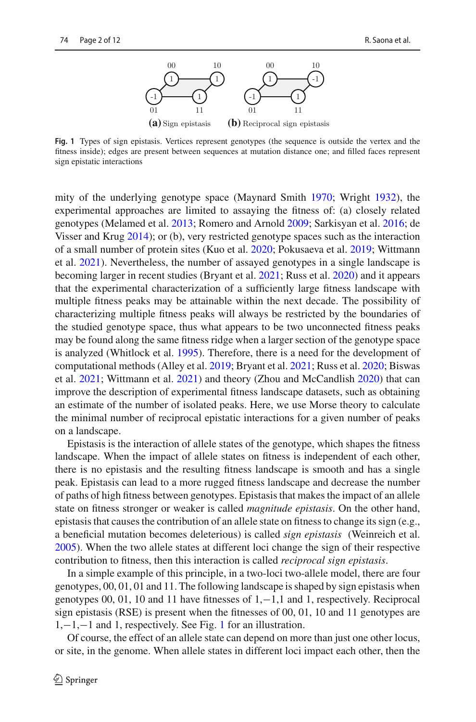

<span id="page-1-0"></span>**Fig. 1** Types of sign epistasis. Vertices represent genotypes (the sequence is outside the vertex and the fitness inside); edges are present between sequences at mutation distance one; and filled faces represent sign epistatic interactions

mity of the underlying genotype space (Maynard Smit[h](#page-11-0) [1970;](#page-11-0) Wrigh[t](#page-11-1) [1932\)](#page-11-1), the experimental approaches are limited to assaying the fitness of: (a) closely related genotypes (Melamed et al[.](#page-11-2) [2013](#page-11-2); Romero and Arnol[d](#page-11-3) [2009](#page-11-3); Sarkisyan et al[.](#page-11-4) [2016;](#page-11-4) de Visser and Kru[g](#page-10-0) [2014](#page-10-0)); or (b), very restricted genotype spaces such as the interaction of a small number of protein sites (Kuo et al[.](#page-11-5) [2020;](#page-11-5) Pokusaeva et al[.](#page-11-6) [2019](#page-11-6); Wittmann et al[.](#page-11-7) [2021](#page-11-7)). Nevertheless, the number of assayed genotypes in a single landscape is becoming larger in recent studies (Bryant et al[.](#page-10-1) [2021;](#page-10-1) Russ et al[.](#page-11-8) [2020](#page-11-8)) and it appears that the experimental characterization of a sufficiently large fitness landscape with multiple fitness peaks may be attainable within the next decade. The possibility of characterizing multiple fitness peaks will always be restricted by the boundaries of the studied genotype space, thus what appears to be two unconnected fitness peaks may be found along the same fitness ridge when a larger section of the genotype space is analyzed (Whitlock et al. [1995](#page-11-9)). Therefore, there is a need for the development of computational methods (Alley et al[.](#page-10-2) [2019](#page-10-2); Bryant et al[.](#page-10-1) [2021;](#page-10-1) Russ et al[.](#page-11-8) [2020;](#page-11-8) Biswas et al[.](#page-10-3) [2021](#page-10-3); Wittmann et al[.](#page-11-7) [2021](#page-11-7)) and theory (Zhou and McCandlis[h](#page-11-10) [2020](#page-11-10)) that can improve the description of experimental fitness landscape datasets, such as obtaining an estimate of the number of isolated peaks. Here, we use Morse theory to calculate the minimal number of reciprocal epistatic interactions for a given number of peaks on a landscape.

Epistasis is the interaction of allele states of the genotype, which shapes the fitness landscape. When the impact of allele states on fitness is independent of each other, there is no epistasis and the resulting fitness landscape is smooth and has a single peak. Epistasis can lead to a more rugged fitness landscape and decrease the number of paths of high fitness between genotypes. Epistasis that makes the impact of an allele state on fitness stronger or weaker is called *magnitude epistasis*. On the other hand, epistasis that causes the contribution of an allele state on fitness to change its sign (e.g., a beneficial mutation becomes deleterious) is called *sign epistasis* (Weinreich et al. [2005\)](#page-11-11). When the two allele states at different loci change the sign of their respective contribution to fitness, then this interaction is called *reciprocal sign epistasis*.

In a simple example of this principle, in a two-loci two-allele model, there are four genotypes, 00, 01, 01 and 11. The following landscape is shaped by sign epistasis when genotypes 00, 01, 10 and 11 have fitnesses of 1,−1,1 and 1, respectively. Reciprocal sign epistasis (RSE) is present when the fitnesses of 00, 01, 10 and 11 genotypes are 1,−1,−1 and 1, respectively. See Fig. [1](#page-1-0) for an illustration.

Of course, the effect of an allele state can depend on more than just one other locus, or site, in the genome. When allele states in different loci impact each other, then the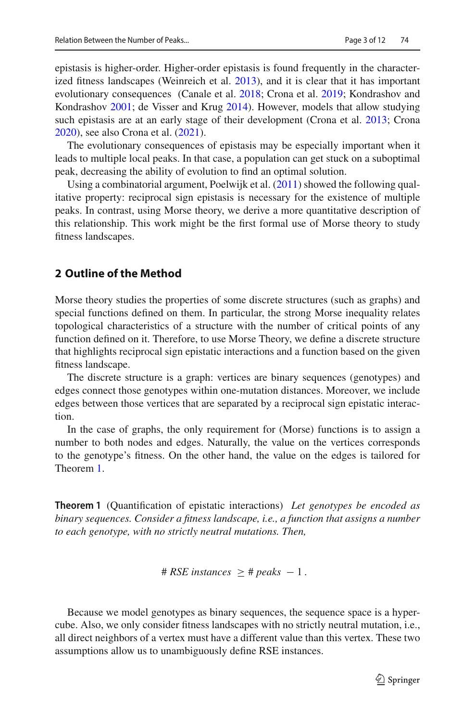epistasis is higher-order. Higher-order epistasis is found frequently in the characterized fitness landscapes (Weinreich et al. [2013\)](#page-11-12), and it is clear that it has important evolutionary consequences (Canale et al[.](#page-10-4) [2018;](#page-10-4) Crona et al[.](#page-10-5) [2019;](#page-10-5) Kondrashov and Kondrasho[v](#page-11-13) [2001;](#page-11-13) de Visser and Kru[g](#page-10-0) [2014](#page-10-0)). However, models that allow studying such epistasis are at an early stage of their development (Crona et al[.](#page-10-6) [2013;](#page-10-6) Cron[a](#page-10-7) [2020\)](#page-10-7), see also Crona et al[.](#page-10-8) [\(2021\)](#page-10-8).

The evolutionary consequences of epistasis may be especially important when it leads to multiple local peaks. In that case, a population can get stuck on a suboptimal peak, decreasing the ability of evolution to find an optimal solution.

Using a combinatorial argument, Poelwijk et al. [\(2011](#page-11-14)) showed the following qualitative property: reciprocal sign epistasis is necessary for the existence of multiple peaks. In contrast, using Morse theory, we derive a more quantitative description of this relationship. This work might be the first formal use of Morse theory to study fitness landscapes.

## **2 Outline of the Method**

Morse theory studies the properties of some discrete structures (such as graphs) and special functions defined on them. In particular, the strong Morse inequality relates topological characteristics of a structure with the number of critical points of any function defined on it. Therefore, to use Morse Theory, we define a discrete structure that highlights reciprocal sign epistatic interactions and a function based on the given fitness landscape.

The discrete structure is a graph: vertices are binary sequences (genotypes) and edges connect those genotypes within one-mutation distances. Moreover, we include edges between those vertices that are separated by a reciprocal sign epistatic interaction.

<span id="page-2-0"></span>In the case of graphs, the only requirement for (Morse) functions is to assign a number to both nodes and edges. Naturally, the value on the vertices corresponds to the genotype's fitness. On the other hand, the value on the edges is tailored for Theorem [1.](#page-2-0)

**Theorem 1** (Quantification of epistatic interactions) *Let genotypes be encoded as binary sequences. Consider a fitness landscape, i.e., a function that assigns a number to each genotype, with no strictly neutral mutations. Then,*

 $\# RSE$  *instances*  $\geq$   $\# peaks - 1$ .

Because we model genotypes as binary sequences, the sequence space is a hypercube. Also, we only consider fitness landscapes with no strictly neutral mutation, i.e., all direct neighbors of a vertex must have a different value than this vertex. These two assumptions allow us to unambiguously define RSE instances.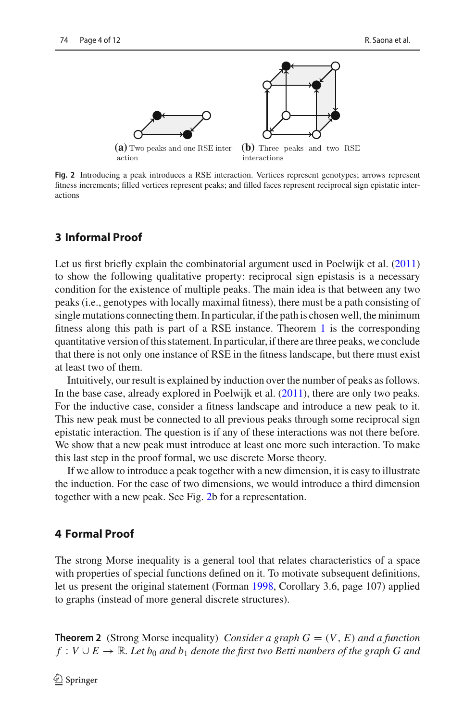

<span id="page-3-0"></span>**Fig. 2** Introducing a peak introduces a RSE interaction. Vertices represent genotypes; arrows represent fitness increments; filled vertices represent peaks; and filled faces represent reciprocal sign epistatic interactions

## **3 Informal Proof**

Let us first briefly explain the combinatorial argument used in Poelwijk et al. [\(2011\)](#page-11-14) to show the following qualitative property: reciprocal sign epistasis is a necessary condition for the existence of multiple peaks. The main idea is that between any two peaks (i.e., genotypes with locally maximal fitness), there must be a path consisting of single mutations connecting them. In particular, if the path is chosen well, the minimum fitness along this path is part of a RSE instance. Theorem [1](#page-2-0) is the corresponding quantitative version of this statement. In particular, if there are three peaks, we conclude that there is not only one instance of RSE in the fitness landscape, but there must exist at least two of them.

Intuitively, our result is explained by induction over the number of peaks as follows. In the base case, already explored in Poelwijk et al. [\(2011](#page-11-14)), there are only two peaks. For the inductive case, consider a fitness landscape and introduce a new peak to it. This new peak must be connected to all previous peaks through some reciprocal sign epistatic interaction. The question is if any of these interactions was not there before. We show that a new peak must introduce at least one more such interaction. To make this last step in the proof formal, we use discrete Morse theory.

If we allow to introduce a peak together with a new dimension, it is easy to illustrate the induction. For the case of two dimensions, we would introduce a third dimension together with a new peak. See Fig. [2b](#page-3-0) for a representation.

## **4 Formal Proof**

The strong Morse inequality is a general tool that relates characteristics of a space with properties of special functions defined on it. To motivate subsequent definitions, let us present the original statement (Forma[n](#page-10-9) [1998,](#page-10-9) Corollary 3.6, page 107) applied to graphs (instead of more general discrete structures).

<span id="page-3-1"></span>**Theorem 2** (Strong Morse inequality) *Consider a graph*  $G = (V, E)$  *and a function f* : *V* ∪ *E* →  $\mathbb{R}$ *. Let b*<sub>0</sub> *and b*<sub>1</sub> *denote the first two Betti numbers of the graph G and*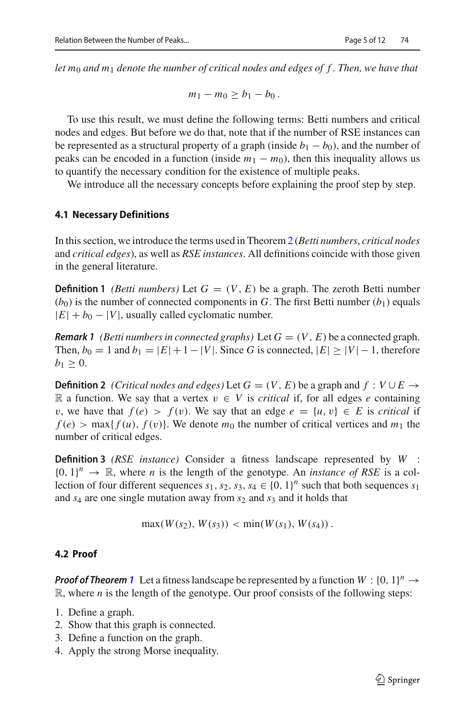*let m*<sup>0</sup> *and m*<sup>1</sup> *denote the number of critical nodes and edges of f . Then, we have that*

$$
m_1-m_0\geq b_1-b_0.
$$

To use this result, we must define the following terms: Betti numbers and critical nodes and edges. But before we do that, note that if the number of RSE instances can be represented as a structural property of a graph (inside  $b_1 - b_0$ ), and the number of peaks can be encoded in a function (inside  $m_1 - m_0$ ), then this inequality allows us to quantify the necessary condition for the existence of multiple peaks.

We introduce all the necessary concepts before explaining the proof step by step.

#### **4.1 Necessary Definitions**

In this section, we introduce the terms used in Theorem [2](#page-3-1) (*Betti numbers*, *critical nodes* and *critical edges*), as well as *RSE instances*. All definitions coincide with those given in the general literature.

**Definition 1** *(Betti numbers)* Let  $G = (V, E)$  be a graph. The zeroth Betti number  $(b_0)$  is the number of connected components in *G*. The first Betti number  $(b_1)$  equals  $|E| + b_0 - |V|$ , usually called cyclomatic number.

<span id="page-4-0"></span>*Remark 1 (Betti numbers in connected graphs)* Let  $G = (V, E)$  be a connected graph. Then,  $b_0 = 1$  and  $b_1 = |E| + 1 - |V|$ . Since *G* is connected,  $|E| \ge |V| - 1$ , therefore  $b_1 \geq 0$ .

**Definition 2** *(Critical nodes and edges)* Let  $G = (V, E)$  be a graph and  $f : V \cup E \rightarrow$ R a function. We say that a vertex  $v \text{ ∈ } V$  is *critical* if, for all edges *e* containing *v*, we have that  $f(e) > f(v)$ . We say that an edge  $e = \{u, v\} \in E$  is *critical* if  $f(e)$  > max $\{f(u), f(v)\}$ . We denote  $m_0$  the number of critical vertices and  $m_1$  the number of critical edges.

**Definition 3** *(RSE instance)* Consider a fitness landscape represented by *W* :  ${0, 1}^n \rightarrow \mathbb{R}$ , where *n* is the length of the genotype. An *instance of RSE* is a collection of four different sequences  $s_1$ ,  $s_2$ ,  $s_3$ ,  $s_4 \in \{0, 1\}^n$  such that both sequences  $s_1$ and *s*<sup>4</sup> are one single mutation away from *s*<sup>2</sup> and *s*<sup>3</sup> and it holds that

$$
\max(W(s_2), W(s_3)) < \min(W(s_1), W(s_4))
$$

#### **4.2 Proof**

*Proof of Theorem [1](#page-2-0)* Let a fitness landscape be represented by a function  $W : \{0, 1\}^n \rightarrow$ R, where *n* is the length of the genotype. Our proof consists of the following steps:

- 1. Define a graph.
- 2. Show that this graph is connected.
- 3. Define a function on the graph.
- 4. Apply the strong Morse inequality.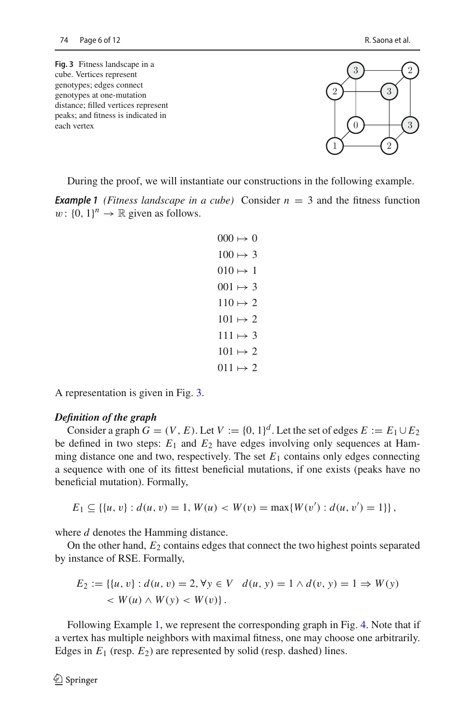<span id="page-5-0"></span>**Fig. 3** Fitness landscape in a cube. Vertices represent genotypes; edges connect genotypes at one-mutation distance; filled vertices represent peaks; and fitness is indicated in each vertex  $\begin{pmatrix} 0 \\ 0 \end{pmatrix}$ 



During the proof, we will instantiate our constructions in the following example.

<span id="page-5-1"></span>**Example 1** *(Fitness landscape in a cube)* Consider  $n = 3$  and the fitness function *w*:  $\{0, 1\}^n \rightarrow \mathbb{R}$  given as follows.

```
000 \mapsto 0100 \mapsto 3010 \mapsto 1001 \mapsto 3110 \mapsto 2101 \mapsto 2111 \mapsto 3101 \mapsto 2011 \mapsto 2
```
A representation is given in Fig. [3.](#page-5-0)

#### *Definition of the graph*

Consider a graph  $G = (V, E)$ . Let  $V := \{0, 1\}^d$ . Let the set of edges  $E := E_1 \cup E_2$ be defined in two steps:  $E_1$  and  $E_2$  have edges involving only sequences at Hamming distance one and two, respectively. The set  $E_1$  contains only edges connecting a sequence with one of its fittest beneficial mutations, if one exists (peaks have no beneficial mutation). Formally,

$$
E_1 \subseteq \{ \{u, v\} : d(u, v) = 1, W(u) < W(v) = \max\{W(v') : d(u, v') = 1\} \},
$$

where *d* denotes the Hamming distance.

On the other hand,  $E_2$  contains edges that connect the two highest points separated by instance of RSE. Formally,

$$
E_2 := \{ \{u, v\} : d(u, v) = 2, \forall y \in V \mid d(u, y) = 1 \land d(v, y) = 1 \Rightarrow W(y) \prec W(u) \land W(y) < W(v) \}.
$$

Following Example [1,](#page-5-1) we represent the corresponding graph in Fig. [4.](#page-6-0) Note that if a vertex has multiple neighbors with maximal fitness, one may choose one arbitrarily. Edges in  $E_1$  (resp.  $E_2$ ) are represented by solid (resp. dashed) lines.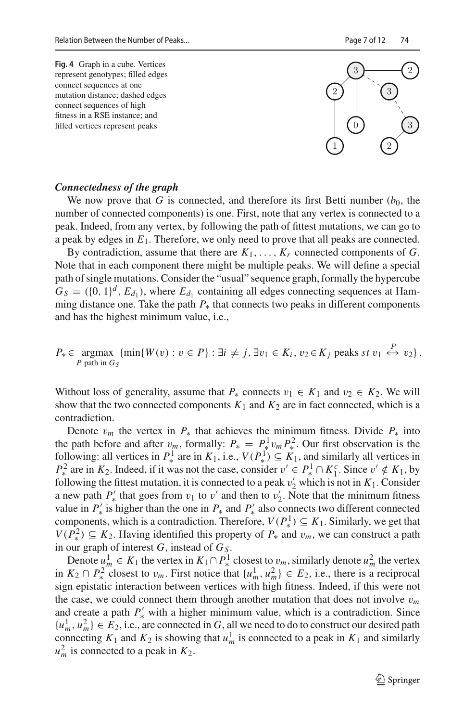<span id="page-6-0"></span>



#### *Connectedness of the graph*

We now prove that *G* is connected, and therefore its first Betti number  $(b_0, b_0)$ number of connected components) is one. First, note that any vertex is connected to a peak. Indeed, from any vertex, by following the path of fittest mutations, we can go to a peak by edges in  $E_1$ . Therefore, we only need to prove that all peaks are connected.

By contradiction, assume that there are  $K_1, \ldots, K_r$  connected components of *G*. Note that in each component there might be multiple peaks. We will define a special path of single mutations. Consider the "usual" sequence graph, formally the hypercube  $G_S = (\{0, 1\}^d, E_{d_1})$ , where  $E_{d_1}$  containing all edges connecting sequences at Hamming distance one. Take the path  $P_*$  that connects two peaks in different components and has the highest minimum value, i.e.,

$$
P_* \in \underset{P \text{ path in } G_S}{\text{argmax}} \{ \min \{ W(v) : v \in P \} : \exists i \neq j, \exists v_1 \in K_i, v_2 \in K_j \text{ peaks } st \ v_1 \stackrel{P}{\leftrightarrow} v_2 \}.
$$

Without loss of generality, assume that  $P_*$  connects  $v_1 \in K_1$  and  $v_2 \in K_2$ . We will show that the two connected components  $K_1$  and  $K_2$  are in fact connected, which is a contradiction.

Denote  $v_m$  the vertex in  $P_*$  that achieves the minimum fitness. Divide  $P_*$  into the path before and after  $v_m$ , formally:  $P_* = P_*^1 v_m P_*^2$ . Our first observation is the following: all vertices in  $P^1_*$  are in  $K_1$ , i.e.,  $V(P^1_*) \subseteq K_1$ , and similarly all vertices in  $P^2$  are in *K*<sub>2</sub>. Indeed, if it was not the case, consider  $v' \in P^1 \cap K_1^c$ . Since  $v' \notin K_1$ , by following the fittest mutation, it is connected to a peak  $v_2'$  which is not in  $K_1$ . Consider a new path  $P'_*$  that goes from  $v_1$  to  $v'$  and then to  $v'_2$ . Note that the minimum fitness value in  $P'_*$  is higher than the one in  $P_*$  and  $P'_*$  also connects two different connected components, which is a contradiction. Therefore,  $V(P^1) \subseteq K_1$ . Similarly, we get that *V*( $P_*^2$ ) ⊆  $K_2$ . Having identified this property of  $P_*$  and  $v_m$ , we can construct a path in our graph of interest  $G$ , instead of  $G<sub>S</sub>$ .

Denote  $u_m^1 \in K_1$  the vertex in  $K_1 \cap P_*^1$  closest to  $v_m$ , similarly denote  $u_m^2$  the vertex in *K*<sub>2</sub> ∩ *P*<sup>2</sup><sup> $\frac{1}{k}$ </sup> closest to *v<sub>m</sub>*. First notice that {*u*<sub>*m*</sub><sup> $1$ </sup>*, u*<sup>2</sup><sub>*m*</sub>} ∈ *E*<sub>2</sub>, i.e., there is a reciprocal sign epistatic interaction between vertices with high fitness. Indeed, if this were not the case, we could connect them through another mutation that does not involve  $v_m$ and create a path  $P'_{*}$  with a higher minimum value, which is a contradiction. Since  $\{u_m^1, u_m^2\} \in E_2$ , i.e., are connected in *G*, all we need to do to construct our desired path connecting  $K_1$  and  $K_2$  is showing that  $u_m^1$  is connected to a peak in  $K_1$  and similarly  $u_m^2$  is connected to a peak in  $K_2$ .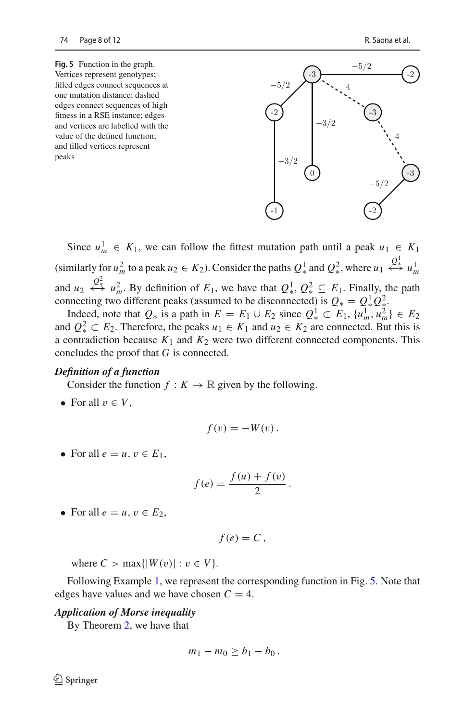<span id="page-7-0"></span>**Fig. 5** Function in the graph. Vertices represent genotypes; filled edges connect sequences at one mutation distance; dashed edges connect sequences of high fitness in a RSE instance; edges and vertices are labelled with the value of the defined function; and filled vertices represent peaks



Since  $u_m^1 \in K_1$ , we can follow the fittest mutation path until a peak  $u_1 \in K_1$ (similarly for  $u_m^2$  to a peak  $u_2 \in K_2$ ). Consider the paths  $Q^1_*$  and  $Q^2_*$ , where  $u_1 \leftrightarrow u_m^1$ and  $u_2 \leftrightarrow \mathcal{Q}^2_*$  *u*<sub>m</sub>. By definition of  $E_1$ , we have that  $Q^1_*$ ,  $Q^2_* \subseteq E_1$ . Finally, the path connecting two different peaks (assumed to be disconnected) is  $Q_* = Q_*^1 Q_*^2$ .

Indeed, note that  $Q_*$  is a path in  $E = E_1 \cup E_2$  since  $Q_*^1 \subset E_1$ ,  $\{u_m^1, u_m^2\} \in E_2$ and  $Q^2_* \subset E_2$ . Therefore, the peaks  $u_1 \in K_1$  and  $u_2 \in K_2$  are connected. But this is a contradiction because  $K_1$  and  $K_2$  were two different connected components. This concludes the proof that *G* is connected.

#### *Definition of a function*

Consider the function  $f: K \to \mathbb{R}$  given by the following.

• For all  $v \in V$ ,

$$
f(v)=-W(v).
$$

• For all  $e = u, v \in E_1$ ,

$$
f(e) = \frac{f(u) + f(v)}{2}.
$$

• For all  $e = u, v \in E_2$ ,

$$
f(e)=C,
$$

where  $C > \max\{|W(v)| : v \in V\}$ .

Following Example [1,](#page-5-1) we represent the corresponding function in Fig. [5.](#page-7-0) Note that edges have values and we have chosen  $C = 4$ .

#### *Application of Morse inequality*

By Theorem [2,](#page-3-1) we have that

$$
m_1-m_0\geq b_1-b_0.
$$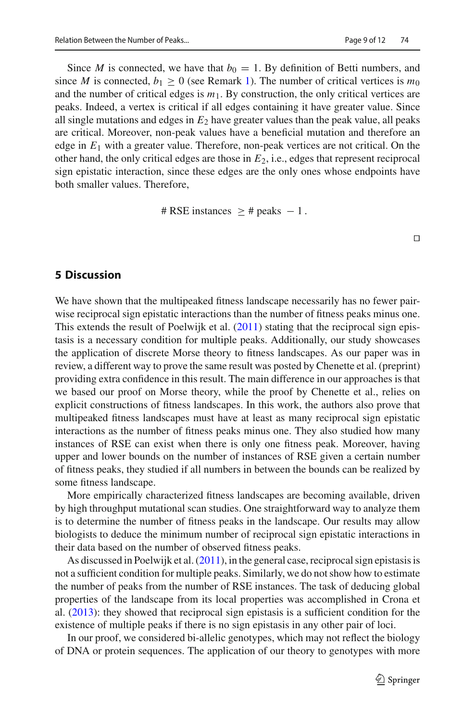Since *M* is connected, we have that  $b_0 = 1$ . By definition of Betti numbers, and since *M* is connected,  $b_1 \ge 0$  (see Remark [1\)](#page-4-0). The number of critical vertices is  $m_0$ and the number of critical edges is  $m_1$ . By construction, the only critical vertices are peaks. Indeed, a vertex is critical if all edges containing it have greater value. Since all single mutations and edges in *E*<sup>2</sup> have greater values than the peak value, all peaks are critical. Moreover, non-peak values have a beneficial mutation and therefore an edge in  $E_1$  with a greater value. Therefore, non-peak vertices are not critical. On the other hand, the only critical edges are those in *E*2, i.e., edges that represent reciprocal sign epistatic interaction, since these edges are the only ones whose endpoints have both smaller values. Therefore,

 $\#$  RSE instances  $>$  # peaks  $-1$ .

 $\Box$ 

## **5 Discussion**

We have shown that the multipeaked fitness landscape necessarily has no fewer pairwise reciprocal sign epistatic interactions than the number of fitness peaks minus one. This extends the result of Poelwijk et al. [\(2011\)](#page-11-14) stating that the reciprocal sign epistasis is a necessary condition for multiple peaks. Additionally, our study showcases the application of discrete Morse theory to fitness landscapes. As our paper was in review, a different way to prove the same result was posted by Chenette et al. (preprint) providing extra confidence in this result. The main difference in our approaches is that we based our proof on Morse theory, while the proof by Chenette et al., relies on explicit constructions of fitness landscapes. In this work, the authors also prove that multipeaked fitness landscapes must have at least as many reciprocal sign epistatic interactions as the number of fitness peaks minus one. They also studied how many instances of RSE can exist when there is only one fitness peak. Moreover, having upper and lower bounds on the number of instances of RSE given a certain number of fitness peaks, they studied if all numbers in between the bounds can be realized by some fitness landscape.

More empirically characterized fitness landscapes are becoming available, driven by high throughput mutational scan studies. One straightforward way to analyze them is to determine the number of fitness peaks in the landscape. Our results may allow biologists to deduce the minimum number of reciprocal sign epistatic interactions in their data based on the number of observed fitness peaks.

As discussed in Poelwijk et al. [\(2011\)](#page-11-14), in the general case, reciprocal sign epistasis is not a sufficient condition for multiple peaks. Similarly, we do not show how to estimate the number of peaks from the number of RSE instances. The task of deducing global properties of the landscape from its local properties was accomplished in Crona et al. [\(2013](#page-10-6)): they showed that reciprocal sign epistasis is a sufficient condition for the existence of multiple peaks if there is no sign epistasis in any other pair of loci.

In our proof, we considered bi-allelic genotypes, which may not reflect the biology of DNA or protein sequences. The application of our theory to genotypes with more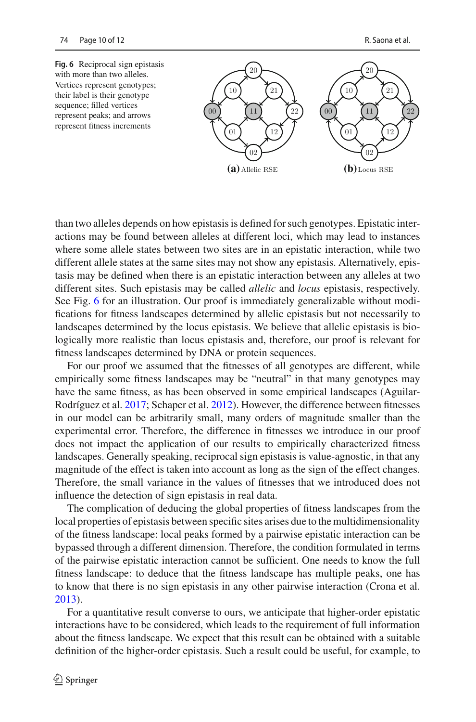<span id="page-9-0"></span>

**(a)** Allelic RSE **(b)**Locus RSE

than two alleles depends on how epistasis is defined for such genotypes. Epistatic interactions may be found between alleles at different loci, which may lead to instances where some allele states between two sites are in an epistatic interaction, while two different allele states at the same sites may not show any epistasis. Alternatively, epistasis may be defined when there is an epistatic interaction between any alleles at two different sites. Such epistasis may be called *allelic* and *locus* epistasis, respectively. See Fig. [6](#page-9-0) for an illustration. Our proof is immediately generalizable without modifications for fitness landscapes determined by allelic epistasis but not necessarily to landscapes determined by the locus epistasis. We believe that allelic epistasis is biologically more realistic than locus epistasis and, therefore, our proof is relevant for fitness landscapes determined by DNA or protein sequences.

For our proof we assumed that the fitnesses of all genotypes are different, while empirically some fitness landscapes may be "neutral" in that many genotypes may have the same fitness, as has been observed in some empirical landscapes (Aguilar-Rodríguez et al[.](#page-10-10) [2017](#page-10-10); Schaper et al[.](#page-11-15) [2012\)](#page-11-15). However, the difference between fitnesses in our model can be arbitrarily small, many orders of magnitude smaller than the experimental error. Therefore, the difference in fitnesses we introduce in our proof does not impact the application of our results to empirically characterized fitness landscapes. Generally speaking, reciprocal sign epistasis is value-agnostic, in that any magnitude of the effect is taken into account as long as the sign of the effect changes. Therefore, the small variance in the values of fitnesses that we introduced does not influence the detection of sign epistasis in real data.

The complication of deducing the global properties of fitness landscapes from the local properties of epistasis between specific sites arises due to the multidimensionality of the fitness landscape: local peaks formed by a pairwise epistatic interaction can be bypassed through a different dimension. Therefore, the condition formulated in terms of the pairwise epistatic interaction cannot be sufficient. One needs to know the full fitness landscape: to deduce that the fitness landscape has multiple peaks, one has to know that there is no sign epistasis in any other pairwise interaction (Crona et al. [2013\)](#page-10-6).

For a quantitative result converse to ours, we anticipate that higher-order epistatic interactions have to be considered, which leads to the requirement of full information about the fitness landscape. We expect that this result can be obtained with a suitable definition of the higher-order epistasis. Such a result could be useful, for example, to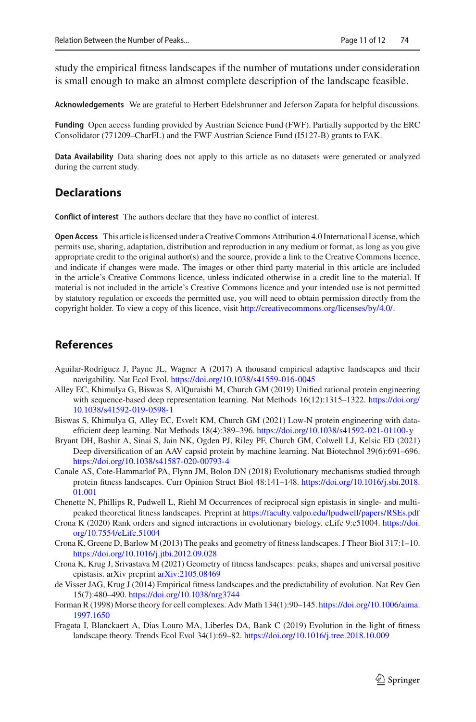study the empirical fitness landscapes if the number of mutations under consideration is small enough to make an almost complete description of the landscape feasible.

**Acknowledgements** We are grateful to Herbert Edelsbrunner and Jeferson Zapata for helpful discussions.

**Funding** Open access funding provided by Austrian Science Fund (FWF). Partially supported by the ERC Consolidator (771209–CharFL) and the FWF Austrian Science Fund (I5127-B) grants to FAK.

**Data Availability** Data sharing does not apply to this article as no datasets were generated or analyzed during the current study.

## **Declarations**

**Conflict of interest** The authors declare that they have no conflict of interest.

**Open Access** This article is licensed under a Creative Commons Attribution 4.0 International License, which permits use, sharing, adaptation, distribution and reproduction in any medium or format, as long as you give appropriate credit to the original author(s) and the source, provide a link to the Creative Commons licence, and indicate if changes were made. The images or other third party material in this article are included in the article's Creative Commons licence, unless indicated otherwise in a credit line to the material. If material is not included in the article's Creative Commons licence and your intended use is not permitted by statutory regulation or exceeds the permitted use, you will need to obtain permission directly from the copyright holder. To view a copy of this licence, visit [http://creativecommons.org/licenses/by/4.0/.](http://creativecommons.org/licenses/by/4.0/)

## **References**

- <span id="page-10-10"></span>Aguilar-Rodríguez J, Payne JL, Wagner A (2017) A thousand empirical adaptive landscapes and their navigability. Nat Ecol Evol. <https://doi.org/10.1038/s41559-016-0045>
- <span id="page-10-2"></span>Alley EC, Khimulya G, Biswas S, AlQuraishi M, Church GM (2019) Unified rational protein engineering with sequence-based deep representation learning. Nat Methods 16(12):1315–1322. [https://doi.org/](https://doi.org/10.1038/s41592-019-0598-1) [10.1038/s41592-019-0598-1](https://doi.org/10.1038/s41592-019-0598-1)
- <span id="page-10-3"></span>Biswas S, Khimulya G, Alley EC, Esvelt KM, Church GM (2021) Low-N protein engineering with dataefficient deep learning. Nat Methods 18(4):389–396. <https://doi.org/10.1038/s41592-021-01100-y>
- <span id="page-10-1"></span>Bryant DH, Bashir A, Sinai S, Jain NK, Ogden PJ, Riley PF, Church GM, Colwell LJ, Kelsic ED (2021) Deep diversification of an AAV capsid protein by machine learning. Nat Biotechnol 39(6):691–696. <https://doi.org/10.1038/s41587-020-00793-4>
- <span id="page-10-4"></span>Canale AS, Cote-Hammarlof PA, Flynn JM, Bolon DN (2018) Evolutionary mechanisms studied through protein fitness landscapes. Curr Opinion Struct Biol 48:141–148. [https://doi.org/10.1016/j.sbi.2018.](https://doi.org/10.1016/j.sbi.2018.01.001) [01.001](https://doi.org/10.1016/j.sbi.2018.01.001)
- Chenette N, Phillips R, Pudwell L, Riehl M Occurrences of reciprocal sign epistasis in single- and multipeaked theoretical fitness landscapes. Preprint at <https://faculty.valpo.edu/lpudwell/papers/RSEs.pdf>
- <span id="page-10-7"></span>Crona K (2020) Rank orders and signed interactions in evolutionary biology. eLife 9:e51004. [https://doi.](https://doi.org/10.7554/eLife.51004) [org/10.7554/eLife.51004](https://doi.org/10.7554/eLife.51004)
- <span id="page-10-6"></span>Crona K, Greene D, Barlow M (2013) The peaks and geometry of fitness landscapes. J Theor Biol 317:1–10. <https://doi.org/10.1016/j.jtbi.2012.09.028>
- <span id="page-10-8"></span>Crona K, Krug J, Srivastava M (2021) Geometry of fitness landscapes: peaks, shapes and universal positive epistasis. arXiv preprint [arXiv:2105.08469](http://arxiv.org/abs/2105.08469)
- <span id="page-10-0"></span>de Visser JAG, Krug J (2014) Empirical fitness landscapes and the predictability of evolution. Nat Rev Gen 15(7):480–490. <https://doi.org/10.1038/nrg3744>
- <span id="page-10-9"></span>Forman R (1998) Morse theory for cell complexes. Adv Math 134(1):90–145. [https://doi.org/10.1006/aima.](https://doi.org/10.1006/aima.1997.1650) [1997.1650](https://doi.org/10.1006/aima.1997.1650)
- <span id="page-10-5"></span>Fragata I, Blanckaert A, Dias Louro MA, Liberles DA, Bank C (2019) Evolution in the light of fitness landscape theory. Trends Ecol Evol 34(1):69–82. <https://doi.org/10.1016/j.tree.2018.10.009>